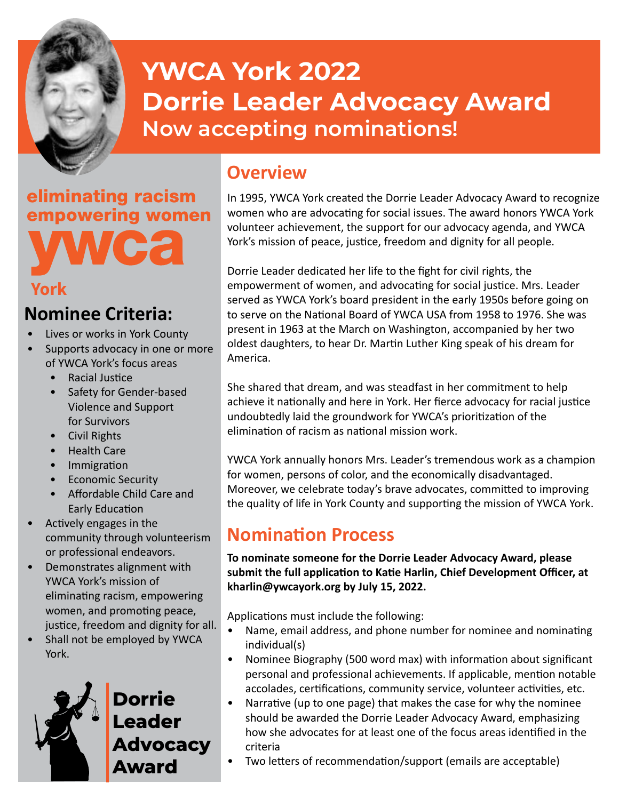

# **YWCA York 2022 Dorrie Leader Advocacy Award Now accepting nominations!**

eliminating racism empowering women

#### **York**

## **Nominee Criteria:**

- Lives or works in York County
- Supports advocacy in one or more of YWCA York's focus areas
	- Racial Justice
	- Safety for Gender-based Violence and Support for Survivors
	- Civil Rights
	- Health Care
	- **Immigration**
	- Economic Security
	- Affordable Child Care and Early Education
- Actively engages in the community through volunteerism or professional endeavors.
- Demonstrates alignment with YWCA York's mission of eliminating racism, empowering women, and promoting peace, justice, freedom and dignity for all.
- Shall not be employed by YWCA York.



**Dorrie Leader Advocacy Award**

## **Overview**

In 1995, YWCA York created the Dorrie Leader Advocacy Award to recognize women who are advocating for social issues. The award honors YWCA York volunteer achievement, the support for our advocacy agenda, and YWCA York's mission of peace, justice, freedom and dignity for all people.

Dorrie Leader dedicated her life to the fight for civil rights, the empowerment of women, and advocating for social justice. Mrs. Leader served as YWCA York's board president in the early 1950s before going on to serve on the National Board of YWCA USA from 1958 to 1976. She was present in 1963 at the March on Washington, accompanied by her two oldest daughters, to hear Dr. Martin Luther King speak of his dream for America.

She shared that dream, and was steadfast in her commitment to help achieve it nationally and here in York. Her fierce advocacy for racial justice undoubtedly laid the groundwork for YWCA's prioritization of the elimination of racism as national mission work.

YWCA York annually honors Mrs. Leader's tremendous work as a champion for women, persons of color, and the economically disadvantaged. Moreover, we celebrate today's brave advocates, committed to improving the quality of life in York County and supporting the mission of YWCA York.

## **Nomination Process**

**To nominate someone for the Dorrie Leader Advocacy Award, please submit the full application to Katie Harlin, Chief Development Officer, at kharlin@ywcayork.org by July 15, 2022.**

Applications must include the following:

- Name, email address, and phone number for nominee and nominating individual(s)
- Nominee Biography (500 word max) with information about significant personal and professional achievements. If applicable, mention notable accolades, certifications, community service, volunteer activities, etc.
- Narrative (up to one page) that makes the case for why the nominee should be awarded the Dorrie Leader Advocacy Award, emphasizing how she advocates for at least one of the focus areas identified in the criteria
- Two letters of recommendation/support (emails are acceptable)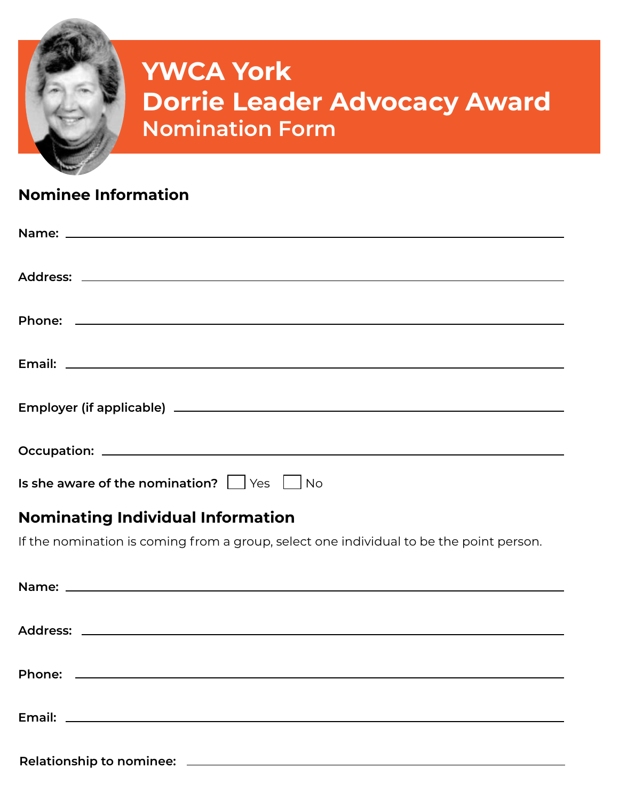

# **YWCA York Dorrie Leader Advocacy Award Nomination Form**

### **Nominee Information**

| Is she aware of the nomination? $\Box$ Yes $\Box$ No |
|------------------------------------------------------|

### **Nominating Individual Information**

If the nomination is coming from a group, select one individual to be the point person.